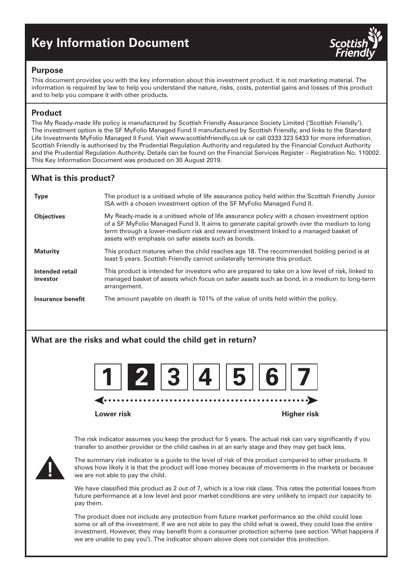# **Key Information Document**



## **Purpose**

This document provides you with the key information about this investment product. It is not marketing material. The information is required by law to help you understand the nature, risks, costs, potential gains and losses of this product and to help you compare it with other products.

# **Product**

The My Ready-made life policy is manufactured by Scottish Friendly Assurance Society Limited ('Scottish Friendly'). The investment option is the SF MyFolio Managed Fund II manufactured by Scottish Friendly, and links to the Standard Life Investments MyFolio Managed II Fund. Visit www.scottishfriendly.co.uk or call 0333 323 5433 for more information. Scottish Friendly is authorised by the Prudential Regulation Authority and regulated by the Financial Conduct Authority and the Prudential Regulation Authority. Details can be found on the Financial Services Register – Registration No. 110002. This Key Information Document was produced on 30 August 2019.

# **What is this product?**

| <b>Type</b>                 | The product is a unitised whole of life assurance policy held within the Scottish Friendly Junior<br>ISA with a chosen investment option of the SF MyFolio Managed Fund II.                                                                                                                                                              |
|-----------------------------|------------------------------------------------------------------------------------------------------------------------------------------------------------------------------------------------------------------------------------------------------------------------------------------------------------------------------------------|
| <b>Objectives</b>           | My Ready-made is a unitised whole of life assurance policy with a chosen investment option<br>of a SF MyFolio Managed Fund II. It aims to generate capital growth over the medium to long<br>term through a lower-medium risk and reward investment linked to a managed basket of<br>assets with emphasis on safer assets such as bonds. |
| <b>Maturity</b>             | This product matures when the child reaches age 18. The recommended holding period is at<br>least 5 years. Scottish Friendly cannot unilaterally terminate this product.                                                                                                                                                                 |
| Intended retail<br>investor | This product is intended for investors who are prepared to take on a low level of risk, linked to<br>managed basket of assets which focus on safer assets such as bond, in a medium to long-term<br>arrangement.                                                                                                                         |
| Insurance benefit           | The amount payable on death is 101% of the value of units held within the policy.                                                                                                                                                                                                                                                        |

# **What are the risks and what could the child get in return?**



The risk indicator assumes you keep the product for 5 years. The actual risk can vary significantly if you transfer to another provider or the child cashes in at an early stage and they may get back less.



The summary risk indicator is a guide to the level of risk of this product compared to other products. It shows how likely it is that the product will lose money because of movements in the markets or because we are not able to pay the child.

We have classified this product as 2 out of 7, which is a low risk class. This rates the potential losses from future performance at a low level and poor market conditions are very unlikely to impact our capacity to pay them.

The product does not include any protection from future market performance so the child could lose some or all of the investment. If we are not able to pay the child what is owed, they could lose the entire investment. However, they may benefit from a consumer protection scheme (see section 'What happens if we are unable to pay you'). The indicator shown above does not consider this protection.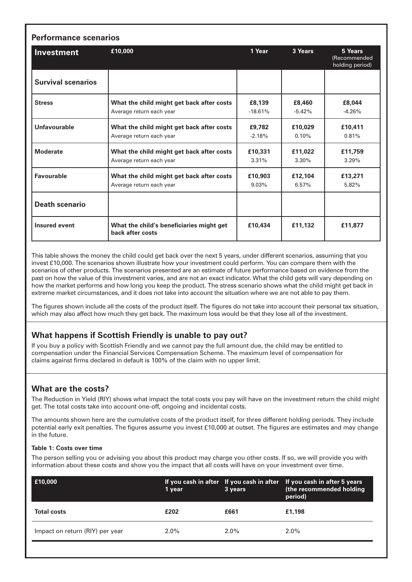| <b>Investment</b>         | £10,000                                                      | 1 Year    | 3 Years  | 5 Years<br>(Recommended<br>holding period) |
|---------------------------|--------------------------------------------------------------|-----------|----------|--------------------------------------------|
| <b>Survival scenarios</b> |                                                              |           |          |                                            |
| <b>Stress</b>             | What the child might get back after costs                    | £8,139    | £8,460   | £8,044                                     |
|                           | Average return each year                                     | $-18.61%$ | $-5.42%$ | $-4.26%$                                   |
| <b>Unfavourable</b>       | What the child might get back after costs                    | £9,782    | £10,029  | £10,411                                    |
|                           | Average return each year                                     | $-2.18%$  | 0.10%    | 0.81%                                      |
| <b>Moderate</b>           | What the child might get back after costs                    | £10,331   | £11,022  | £11,759                                    |
|                           | Average return each year                                     | 3.31%     | $3.30\%$ | 3.29%                                      |
| <b>Favourable</b>         | What the child might get back after costs                    | £10,903   | £12,104  | £13,271                                    |
|                           | Average return each year                                     | $9.03\%$  | 6.57%    | 5.82%                                      |
| <b>Death scenario</b>     |                                                              |           |          |                                            |
| <b>Insured event</b>      | What the child's beneficiaries might get<br>back after costs | £10,434   | £11,132  | £11.877                                    |

This table shows the money the child could get back over the next 5 years, under different scenarios, assuming that you invest £10,000. The scenarios shown illustrate how your investment could perform. You can compare them with the scenarios of other products. The scenarios presented are an estimate of future performance based on evidence from the past on how the value of this investment varies, and are not an exact indicator. What the child gets will vary depending on how the market performs and how long you keep the product. The stress scenario shows what the child might get back in extreme market circumstances, and it does not take into account the situation where we are not able to pay them.

The figures shown include all the costs of the product itself. The figures do not take into account their personal tax situation, which may also affect how much they get back. The maximum loss would be that they lose all of the investment.

# **What happens if Scottish Friendly is unable to pay out?**

If you buy a policy with Scottish Friendly and we cannot pay the full amount due, the child may be entitled to compensation under the Financial Services Compensation Scheme. The maximum level of compensation for claims against firms declared in default is 100% of the claim with no upper limit.

# **What are the costs?**

The Reduction in Yield (RIY) shows what impact the total costs you pay will have on the investment return the child might get. The total costs take into account one-off, ongoing and incidental costs.

The amounts shown here are the cumulative costs of the product itself, for three different holding periods. They include potential early exit penalties. The figures assume you invest £10,000 at outset. The figures are estimates and may change in the future.

#### **Table 1: Costs over time**

The person selling you or advising you about this product may charge you other costs. If so, we will provide you with information about these costs and show you the impact that all costs will have on your investment over time.

| E10,000                         | 1 year  | 3 years | If you cash in after If you cash in after If you cash in after 5 years<br>(the recommended holding<br>period) |
|---------------------------------|---------|---------|---------------------------------------------------------------------------------------------------------------|
| <b>Total costs</b>              | £202    | £661    | £1,198                                                                                                        |
| Impact on return (RIY) per year | $2.0\%$ | $2.0\%$ | $2.0\%$                                                                                                       |